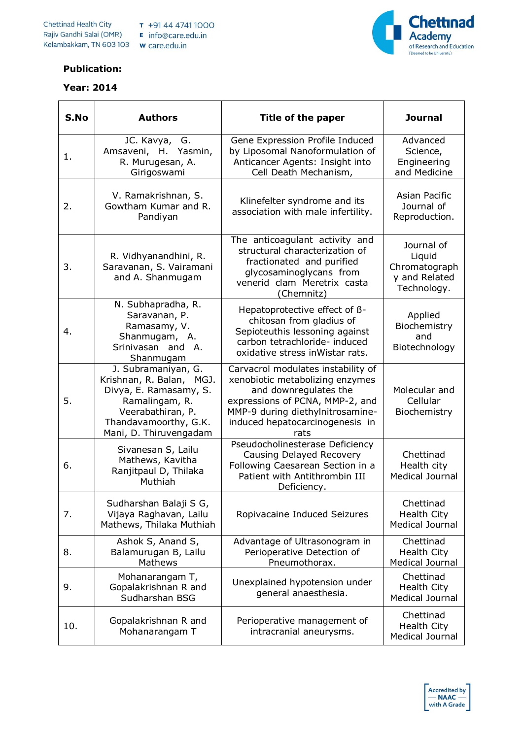

## **Publication:**

## **Year: 2014**

| S.No | <b>Authors</b>                                                                                                                                                      | Title of the paper                                                                                                                                                                                               | <b>Journal</b>                                                        |
|------|---------------------------------------------------------------------------------------------------------------------------------------------------------------------|------------------------------------------------------------------------------------------------------------------------------------------------------------------------------------------------------------------|-----------------------------------------------------------------------|
| 1.   | JC. Kavya, G.<br>Amsaveni, H. Yasmin,<br>R. Murugesan, A.<br>Girigoswami                                                                                            | Gene Expression Profile Induced<br>by Liposomal Nanoformulation of<br>Anticancer Agents: Insight into<br>Cell Death Mechanism,                                                                                   | Advanced<br>Science,<br>Engineering<br>and Medicine                   |
| 2.   | V. Ramakrishnan, S.<br>Gowtham Kumar and R.<br>Pandiyan                                                                                                             | Klinefelter syndrome and its<br>association with male infertility.                                                                                                                                               | Asian Pacific<br>Journal of<br>Reproduction.                          |
| 3.   | R. Vidhyanandhini, R.<br>Saravanan, S. Vairamani<br>and A. Shanmugam                                                                                                | The anticoagulant activity and<br>structural characterization of<br>fractionated and purified<br>glycosaminoglycans from<br>venerid clam Meretrix casta<br>(Chemnitz)                                            | Journal of<br>Liquid<br>Chromatograph<br>y and Related<br>Technology. |
| 4.   | N. Subhapradha, R.<br>Saravanan, P.<br>Ramasamy, V.<br>Shanmugam, A.<br>Srinivasan and A.<br>Shanmugam                                                              | Hepatoprotective effect of B-<br>chitosan from gladius of<br>Sepioteuthis lessoning against<br>carbon tetrachloride- induced<br>oxidative stress inWistar rats.                                                  | Applied<br>Biochemistry<br>and<br>Biotechnology                       |
| 5.   | J. Subramaniyan, G.<br>Krishnan, R. Balan, MGJ.<br>Divya, E. Ramasamy, S.<br>Ramalingam, R.<br>Veerabathiran, P.<br>Thandavamoorthy, G.K.<br>Mani, D. Thiruvengadam | Carvacrol modulates instability of<br>xenobiotic metabolizing enzymes<br>and downregulates the<br>expressions of PCNA, MMP-2, and<br>MMP-9 during diethylnitrosamine-<br>induced hepatocarcinogenesis in<br>rats | Molecular and<br>Cellular<br>Biochemistry                             |
| 6.   | Sivanesan S, Lailu<br>Mathews, Kavitha<br>Ranjitpaul D, Thilaka<br>Muthiah                                                                                          | Pseudocholinesterase Deficiency<br>Causing Delayed Recovery<br>Following Caesarean Section in a<br>Patient with Antithrombin III<br>Deficiency.                                                                  | Chettinad<br>Health city<br><b>Medical Journal</b>                    |
| 7.   | Sudharshan Balaji S G,<br>Vijaya Raghavan, Lailu<br>Mathews, Thilaka Muthiah                                                                                        | Ropivacaine Induced Seizures                                                                                                                                                                                     | Chettinad<br>Health City<br>Medical Journal                           |
| 8.   | Ashok S, Anand S,<br>Balamurugan B, Lailu<br>Mathews                                                                                                                | Advantage of Ultrasonogram in<br>Perioperative Detection of<br>Pneumothorax.                                                                                                                                     | Chettinad<br>Health City<br><b>Medical Journal</b>                    |
| 9.   | Mohanarangam T,<br>Gopalakrishnan R and<br>Sudharshan BSG                                                                                                           | Unexplained hypotension under<br>general anaesthesia.                                                                                                                                                            | Chettinad<br><b>Health City</b><br>Medical Journal                    |
| 10.  | Gopalakrishnan R and<br>Mohanarangam T                                                                                                                              | Perioperative management of<br>intracranial aneurysms.                                                                                                                                                           | Chettinad<br>Health City<br>Medical Journal                           |

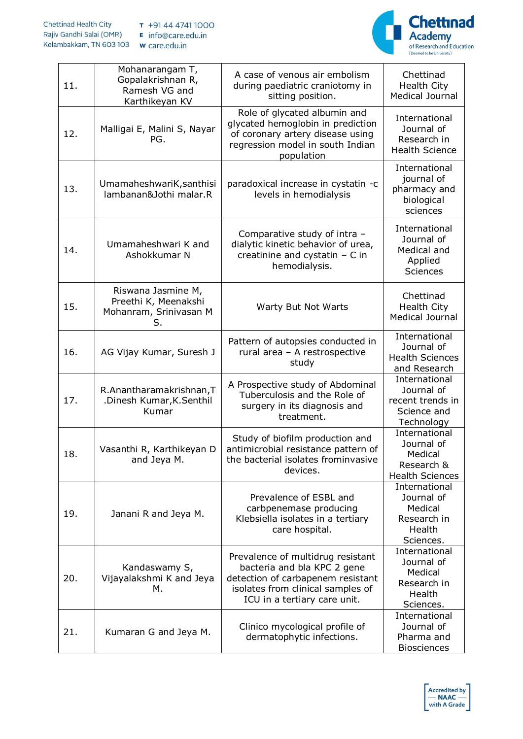

| 11. | Mohanarangam T,<br>Gopalakrishnan R,<br>Ramesh VG and<br>Karthikeyan KV    | A case of venous air embolism<br>during paediatric craniotomy in<br>sitting position.                                                                                      | Chettinad<br>Health City<br>Medical Journal                                    |
|-----|----------------------------------------------------------------------------|----------------------------------------------------------------------------------------------------------------------------------------------------------------------------|--------------------------------------------------------------------------------|
| 12. | Malligai E, Malini S, Nayar<br>PG.                                         | Role of glycated albumin and<br>glycated hemoglobin in prediction<br>of coronary artery disease using<br>regression model in south Indian<br>population                    | International<br>Journal of<br>Research in<br><b>Health Science</b>            |
| 13. | UmamaheshwariK, santhisi<br>lambanan&Jothi malar.R                         | paradoxical increase in cystatin -c<br>levels in hemodialysis                                                                                                              | International<br>journal of<br>pharmacy and<br>biological<br>sciences          |
| 14. | Umamaheshwari K and<br>Ashokkumar N                                        | Comparative study of intra -<br>dialytic kinetic behavior of urea,<br>creatinine and cystatin $- C$ in<br>hemodialysis.                                                    | International<br>Journal of<br>Medical and<br>Applied<br>Sciences              |
| 15. | Riswana Jasmine M,<br>Preethi K, Meenakshi<br>Mohanram, Srinivasan M<br>S. | Warty But Not Warts                                                                                                                                                        | Chettinad<br>Health City<br><b>Medical Journal</b>                             |
| 16. | AG Vijay Kumar, Suresh J                                                   | Pattern of autopsies conducted in<br>rural area - A restrospective<br>study                                                                                                | International<br>Journal of<br><b>Health Sciences</b><br>and Research          |
| 17. | R.Anantharamakrishnan,T<br>.Dinesh Kumar, K. Senthil<br>Kumar              | A Prospective study of Abdominal<br>Tuberculosis and the Role of<br>surgery in its diagnosis and<br>treatment.                                                             | International<br>Journal of<br>recent trends in<br>Science and<br>Technology   |
| 18. | Vasanthi R, Karthikeyan D<br>and Jeya M.                                   | Study of biofilm production and<br>antimicrobial resistance pattern of<br>the bacterial isolates frominvasive<br>devices.                                                  | International<br>Journal of<br>Medical<br>Research &<br><b>Health Sciences</b> |
| 19. | Janani R and Jeya M.                                                       | Prevalence of ESBL and<br>carbpenemase producing<br>Klebsiella isolates in a tertiary<br>care hospital.                                                                    | International<br>Journal of<br>Medical<br>Research in<br>Health<br>Sciences.   |
| 20. | Kandaswamy S,<br>Vijayalakshmi K and Jeya<br>М.                            | Prevalence of multidrug resistant<br>bacteria and bla KPC 2 gene<br>detection of carbapenem resistant<br>isolates from clinical samples of<br>ICU in a tertiary care unit. | International<br>Journal of<br>Medical<br>Research in<br>Health<br>Sciences.   |
| 21. | Kumaran G and Jeya M.                                                      | Clinico mycological profile of<br>dermatophytic infections.                                                                                                                | International<br>Journal of<br>Pharma and<br><b>Biosciences</b>                |

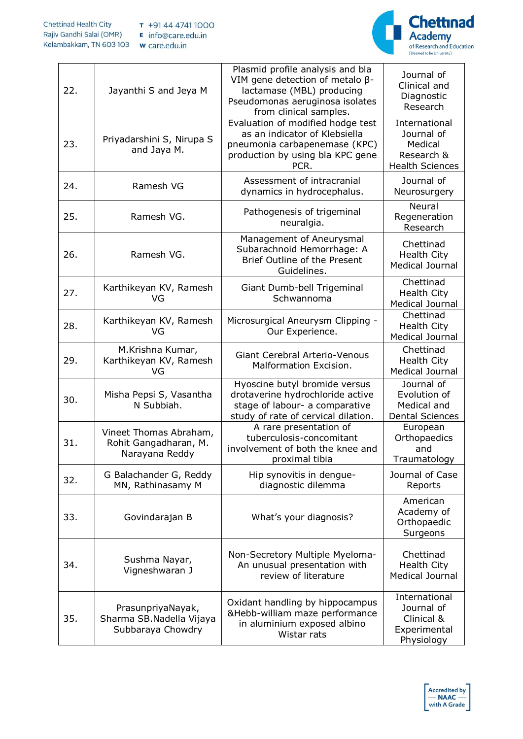

| 22. | Jayanthi S and Jeya M                                              | Plasmid profile analysis and bla<br>VIM gene detection of metalo $\beta$ -<br>lactamase (MBL) producing<br>Pseudomonas aeruginosa isolates<br>from clinical samples. | Journal of<br>Clinical and<br>Diagnostic<br>Research                           |
|-----|--------------------------------------------------------------------|----------------------------------------------------------------------------------------------------------------------------------------------------------------------|--------------------------------------------------------------------------------|
| 23. | Priyadarshini S, Nirupa S<br>and Jaya M.                           | Evaluation of modified hodge test<br>as an indicator of Klebsiella<br>pneumonia carbapenemase (KPC)<br>production by using bla KPC gene<br>PCR.                      | International<br>Journal of<br>Medical<br>Research &<br><b>Health Sciences</b> |
| 24. | Ramesh VG                                                          | Assessment of intracranial<br>dynamics in hydrocephalus.                                                                                                             | Journal of<br>Neurosurgery                                                     |
| 25. | Ramesh VG.                                                         | Pathogenesis of trigeminal<br>neuralgia.                                                                                                                             | Neural<br>Regeneration<br>Research                                             |
| 26. | Ramesh VG.                                                         | Management of Aneurysmal<br>Subarachnoid Hemorrhage: A<br>Brief Outline of the Present<br>Guidelines.                                                                | Chettinad<br><b>Health City</b><br>Medical Journal                             |
| 27. | Karthikeyan KV, Ramesh<br>VG                                       | Giant Dumb-bell Trigeminal<br>Schwannoma                                                                                                                             | Chettinad<br><b>Health City</b><br><b>Medical Journal</b>                      |
| 28. | Karthikeyan KV, Ramesh<br>VG                                       | Microsurgical Aneurysm Clipping -<br>Our Experience.                                                                                                                 | Chettinad<br>Health City<br><b>Medical Journal</b>                             |
| 29. | M.Krishna Kumar,<br>Karthikeyan KV, Ramesh<br>VG                   | <b>Giant Cerebral Arterio-Venous</b><br>Malformation Excision.                                                                                                       | Chettinad<br>Health City<br>Medical Journal                                    |
| 30. | Misha Pepsi S, Vasantha<br>N Subbiah.                              | Hyoscine butyl bromide versus<br>drotaverine hydrochloride active<br>stage of labour- a comparative<br>study of rate of cervical dilation.                           | Journal of<br>Evolution of<br>Medical and<br><b>Dental Sciences</b>            |
| 31. | Vineet Thomas Abraham,<br>Rohit Gangadharan, M.<br>Narayana Reddy  | A rare presentation of<br>tuberculosis-concomitant<br>involvement of both the knee and<br>proximal tibia                                                             | European<br>Orthopaedics<br>and<br>Traumatology                                |
| 32. | G Balachander G, Reddy<br>MN, Rathinasamy M                        | Hip synovitis in dengue-<br>diagnostic dilemma                                                                                                                       | Journal of Case<br>Reports                                                     |
| 33. | Govindarajan B                                                     | What's your diagnosis?                                                                                                                                               | American<br>Academy of<br>Orthopaedic<br>Surgeons                              |
| 34. | Sushma Nayar,<br>Vigneshwaran J                                    | Non-Secretory Multiple Myeloma-<br>An unusual presentation with<br>review of literature                                                                              | Chettinad<br>Health City<br>Medical Journal                                    |
| 35. | PrasunpriyaNayak,<br>Sharma SB.Nadella Vijaya<br>Subbaraya Chowdry | Oxidant handling by hippocampus<br>&Hebb-william maze performance<br>in aluminium exposed albino<br>Wistar rats                                                      | International<br>Journal of<br>Clinical &<br>Experimental<br>Physiology        |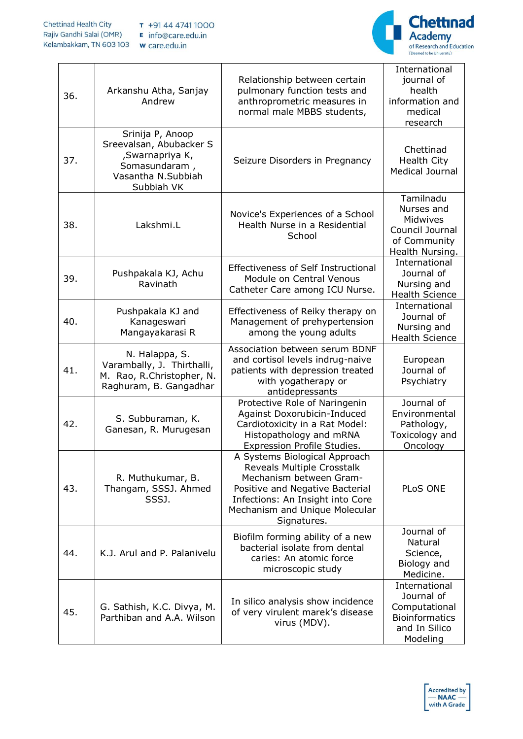

| 36. | Arkanshu Atha, Sanjay<br>Andrew                                                                                      | Relationship between certain<br>pulmonary function tests and<br>anthroprometric measures in<br>normal male MBBS students,                                                                                      | International<br>journal of<br>health<br>information and<br>medical<br>research                    |
|-----|----------------------------------------------------------------------------------------------------------------------|----------------------------------------------------------------------------------------------------------------------------------------------------------------------------------------------------------------|----------------------------------------------------------------------------------------------------|
| 37. | Srinija P, Anoop<br>Sreevalsan, Abubacker S<br>, Swarnapriya K,<br>Somasundaram,<br>Vasantha N.Subbiah<br>Subbiah VK | Seizure Disorders in Pregnancy                                                                                                                                                                                 | Chettinad<br><b>Health City</b><br>Medical Journal                                                 |
| 38. | Lakshmi.L                                                                                                            | Novice's Experiences of a School<br>Health Nurse in a Residential<br>School                                                                                                                                    | Tamilnadu<br>Nurses and<br>Midwives<br>Council Journal<br>of Community<br>Health Nursing.          |
| 39. | Pushpakala KJ, Achu<br>Ravinath                                                                                      | <b>Effectiveness of Self Instructional</b><br>Module on Central Venous<br>Catheter Care among ICU Nurse.                                                                                                       | International<br>Journal of<br>Nursing and<br><b>Health Science</b>                                |
| 40. | Pushpakala KJ and<br>Kanageswari<br>Mangayakarasi R                                                                  | Effectiveness of Reiky therapy on<br>Management of prehypertension<br>among the young adults                                                                                                                   | International<br>Journal of<br>Nursing and<br><b>Health Science</b>                                |
| 41. | N. Halappa, S.<br>Varambally, J. Thirthalli,<br>M. Rao, R.Christopher, N.<br>Raghuram, B. Gangadhar                  | Association between serum BDNF<br>and cortisol levels indrug-naive<br>patients with depression treated<br>with yogatherapy or<br>antidepressants                                                               | European<br>Journal of<br>Psychiatry                                                               |
| 42. | S. Subburaman, K.<br>Ganesan, R. Murugesan                                                                           | Protective Role of Naringenin<br>Against Doxorubicin-Induced<br>Cardiotoxicity in a Rat Model:<br>Histopathology and mRNA<br>Expression Profile Studies.                                                       | Journal of<br>Environmental<br>Pathology,<br>Toxicology and<br>Oncology                            |
| 43. | R. Muthukumar, B.<br>Thangam, SSSJ. Ahmed<br>SSSJ.                                                                   | A Systems Biological Approach<br>Reveals Multiple Crosstalk<br>Mechanism between Gram-<br>Positive and Negative Bacterial<br>Infections: An Insight into Core<br>Mechanism and Unique Molecular<br>Signatures. | PLoS ONE                                                                                           |
| 44. | K.J. Arul and P. Palanivelu                                                                                          | Biofilm forming ability of a new<br>bacterial isolate from dental<br>caries: An atomic force<br>microscopic study                                                                                              | Journal of<br>Natural<br>Science,<br>Biology and<br>Medicine.                                      |
| 45. | G. Sathish, K.C. Divya, M.<br>Parthiban and A.A. Wilson                                                              | In silico analysis show incidence<br>of very virulent marek's disease<br>virus (MDV).                                                                                                                          | International<br>Journal of<br>Computational<br><b>Bioinformatics</b><br>and In Silico<br>Modeling |

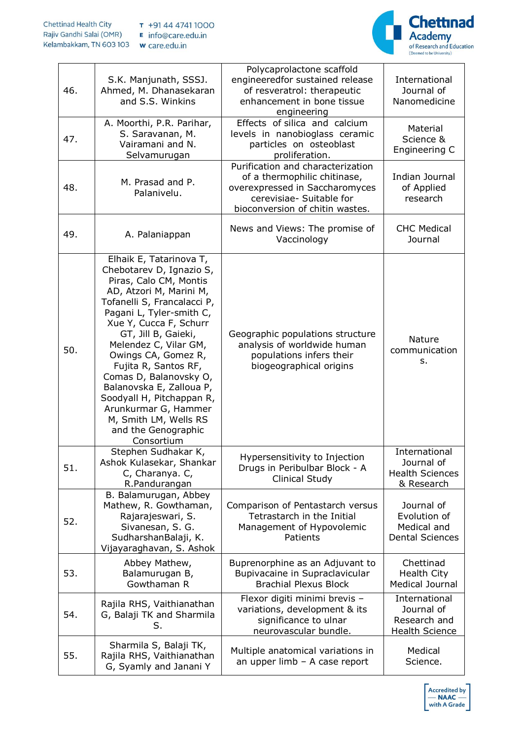

| 46. | S.K. Manjunath, SSSJ.<br>Ahmed, M. Dhanasekaran<br>and S.S. Winkins                                                                                                                                                                                                                                                                                                                                                                                                   | Polycaprolactone scaffold<br>engineeredfor sustained release<br>of resveratrol: therapeutic<br>enhancement in bone tissue<br>engineering                           | International<br>Journal of<br>Nanomedicine                          |
|-----|-----------------------------------------------------------------------------------------------------------------------------------------------------------------------------------------------------------------------------------------------------------------------------------------------------------------------------------------------------------------------------------------------------------------------------------------------------------------------|--------------------------------------------------------------------------------------------------------------------------------------------------------------------|----------------------------------------------------------------------|
| 47. | A. Moorthi, P.R. Parihar,<br>S. Saravanan, M.<br>Vairamani and N.<br>Selvamurugan                                                                                                                                                                                                                                                                                                                                                                                     | Effects of silica and calcium<br>levels in nanobioglass ceramic<br>particles on osteoblast<br>proliferation.                                                       | Material<br>Science &<br>Engineering C                               |
| 48. | M. Prasad and P.<br>Palanivelu.                                                                                                                                                                                                                                                                                                                                                                                                                                       | Purification and characterization<br>of a thermophilic chitinase,<br>overexpressed in Saccharomyces<br>cerevisiae- Suitable for<br>bioconversion of chitin wastes. | Indian Journal<br>of Applied<br>research                             |
| 49. | A. Palaniappan                                                                                                                                                                                                                                                                                                                                                                                                                                                        | News and Views: The promise of<br>Vaccinology                                                                                                                      | <b>CHC Medical</b><br>Journal                                        |
| 50. | Elhaik E, Tatarinova T,<br>Chebotarev D, Ignazio S,<br>Piras, Calo CM, Montis<br>AD, Atzori M, Marini M,<br>Tofanelli S, Francalacci P,<br>Pagani L, Tyler-smith C,<br>Xue Y, Cucca F, Schurr<br>GT, Jill B, Gaieki,<br>Melendez C, Vilar GM,<br>Owings CA, Gomez R,<br>Fujita R, Santos RF,<br>Comas D, Balanovsky O,<br>Balanovska E, Zalloua P,<br>Soodyall H, Pitchappan R,<br>Arunkurmar G, Hammer<br>M, Smith LM, Wells RS<br>and the Genographic<br>Consortium | Geographic populations structure<br>analysis of worldwide human<br>populations infers their<br>biogeographical origins                                             | Nature<br>communication<br>s.                                        |
| 51. | Stephen Sudhakar K,<br>Ashok Kulasekar, Shankar<br>C, Charanya. C,<br>R.Pandurangan                                                                                                                                                                                                                                                                                                                                                                                   | Hypersensitivity to Injection<br>Drugs in Peribulbar Block - A<br>Clinical Study                                                                                   | International<br>Journal of<br><b>Health Sciences</b><br>& Research  |
| 52. | B. Balamurugan, Abbey<br>Mathew, R. Gowthaman,<br>Rajarajeswari, S.<br>Sivanesan, S. G.<br>SudharshanBalaji, K.<br>Vijayaraghavan, S. Ashok                                                                                                                                                                                                                                                                                                                           | Comparison of Pentastarch versus<br>Tetrastarch in the Initial<br>Management of Hypovolemic<br>Patients                                                            | Journal of<br>Evolution of<br>Medical and<br><b>Dental Sciences</b>  |
| 53. | Abbey Mathew,<br>Balamurugan B,<br>Gowthaman R                                                                                                                                                                                                                                                                                                                                                                                                                        | Buprenorphine as an Adjuvant to<br>Bupivacaine in Supraclavicular<br><b>Brachial Plexus Block</b>                                                                  | Chettinad<br><b>Health City</b><br>Medical Journal                   |
| 54. | Rajila RHS, Vaithianathan<br>G, Balaji TK and Sharmila<br>S.                                                                                                                                                                                                                                                                                                                                                                                                          | Flexor digiti minimi brevis -<br>variations, development & its<br>significance to ulnar<br>neurovascular bundle.                                                   | International<br>Journal of<br>Research and<br><b>Health Science</b> |
| 55. | Sharmila S, Balaji TK,<br>Rajila RHS, Vaithianathan<br>G, Syamly and Janani Y                                                                                                                                                                                                                                                                                                                                                                                         | Multiple anatomical variations in<br>an upper $limb - A$ case report                                                                                               | Medical<br>Science.                                                  |

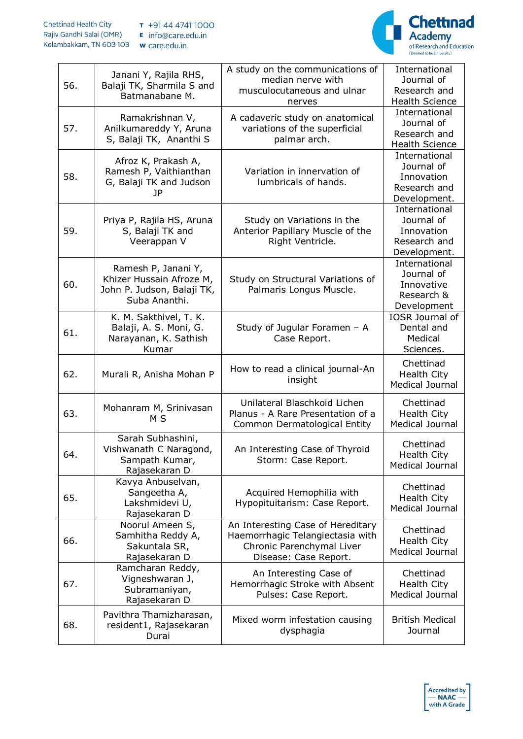

| 56. | Janani Y, Rajila RHS,<br>Balaji TK, Sharmila S and<br>Batmanabane M.                           | A study on the communications of<br>median nerve with<br>musculocutaneous and ulnar<br>nerves                               | International<br>Journal of<br>Research and<br><b>Health Science</b>      |
|-----|------------------------------------------------------------------------------------------------|-----------------------------------------------------------------------------------------------------------------------------|---------------------------------------------------------------------------|
| 57. | Ramakrishnan V,<br>Anilkumareddy Y, Aruna<br>S, Balaji TK, Ananthi S                           | A cadaveric study on anatomical<br>variations of the superficial<br>palmar arch.                                            | International<br>Journal of<br>Research and<br><b>Health Science</b>      |
| 58. | Afroz K, Prakash A,<br>Ramesh P, Vaithianthan<br>G, Balaji TK and Judson<br>JP.                | Variation in innervation of<br>lumbricals of hands.                                                                         | International<br>Journal of<br>Innovation<br>Research and<br>Development. |
| 59. | Priya P, Rajila HS, Aruna<br>S, Balaji TK and<br>Veerappan V                                   | Study on Variations in the<br>Anterior Papillary Muscle of the<br>Right Ventricle.                                          | International<br>Journal of<br>Innovation<br>Research and<br>Development. |
| 60. | Ramesh P, Janani Y,<br>Khizer Hussain Afroze M,<br>John P. Judson, Balaji TK,<br>Suba Ananthi. | Study on Structural Variations of<br>Palmaris Longus Muscle.                                                                | International<br>Journal of<br>Innovative<br>Research &<br>Development    |
| 61. | K. M. Sakthivel, T. K.<br>Balaji, A. S. Moni, G.<br>Narayanan, K. Sathish<br>Kumar             | Study of Jugular Foramen - A<br>Case Report.                                                                                | IOSR Journal of<br>Dental and<br>Medical<br>Sciences.                     |
| 62. | Murali R, Anisha Mohan P                                                                       | How to read a clinical journal-An<br>insight                                                                                | Chettinad<br>Health City<br><b>Medical Journal</b>                        |
| 63. | Mohanram M, Srinivasan<br>M S                                                                  | Unilateral Blaschkoid Lichen<br>Planus - A Rare Presentation of a<br>Common Dermatological Entity                           | Chettinad<br>Health City<br>Medical Journal                               |
| 64. | Sarah Subhashini,<br>Vishwanath C Naragond,<br>Sampath Kumar,<br>Rajasekaran D                 | An Interesting Case of Thyroid<br>Storm: Case Report.                                                                       | Chettinad<br><b>Health City</b><br><b>Medical Journal</b>                 |
| 65. | Kavya Anbuselvan,<br>Sangeetha A,<br>Lakshmidevi U,<br>Rajasekaran D                           | Acquired Hemophilia with<br>Hypopituitarism: Case Report.                                                                   | Chettinad<br><b>Health City</b><br>Medical Journal                        |
| 66. | Noorul Ameen S,<br>Samhitha Reddy A,<br>Sakuntala SR,<br>Rajasekaran D                         | An Interesting Case of Hereditary<br>Haemorrhagic Telangiectasia with<br>Chronic Parenchymal Liver<br>Disease: Case Report. | Chettinad<br>Health City<br><b>Medical Journal</b>                        |
| 67. | Ramcharan Reddy,<br>Vigneshwaran J,<br>Subramaniyan,<br>Rajasekaran D                          | An Interesting Case of<br>Hemorrhagic Stroke with Absent<br>Pulses: Case Report.                                            | Chettinad<br>Health City<br>Medical Journal                               |
| 68. | Pavithra Thamizharasan,<br>resident1, Rajasekaran<br>Durai                                     | Mixed worm infestation causing<br>dysphagia                                                                                 | <b>British Medical</b><br>Journal                                         |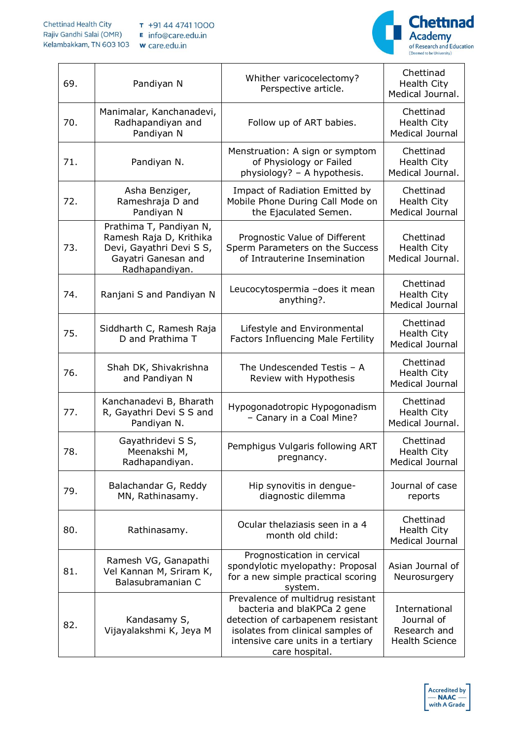

| 69. | Pandiyan N                                                                                                              | Whither varicocelectomy?<br>Perspective article.                                                                                                                                                   | Chettinad<br><b>Health City</b><br>Medical Journal.                  |
|-----|-------------------------------------------------------------------------------------------------------------------------|----------------------------------------------------------------------------------------------------------------------------------------------------------------------------------------------------|----------------------------------------------------------------------|
| 70. | Manimalar, Kanchanadevi,<br>Radhapandiyan and<br>Pandiyan N                                                             | Follow up of ART babies.                                                                                                                                                                           | Chettinad<br><b>Health City</b><br>Medical Journal                   |
| 71. | Pandiyan N.                                                                                                             | Menstruation: A sign or symptom<br>of Physiology or Failed<br>physiology? - A hypothesis.                                                                                                          | Chettinad<br><b>Health City</b><br>Medical Journal.                  |
| 72. | Asha Benziger,<br>Rameshraja D and<br>Pandiyan N                                                                        | Impact of Radiation Emitted by<br>Mobile Phone During Call Mode on<br>the Ejaculated Semen.                                                                                                        | Chettinad<br><b>Health City</b><br><b>Medical Journal</b>            |
| 73. | Prathima T, Pandiyan N,<br>Ramesh Raja D, Krithika<br>Devi, Gayathri Devi S S,<br>Gayatri Ganesan and<br>Radhapandiyan. | Prognostic Value of Different<br>Sperm Parameters on the Success<br>of Intrauterine Insemination                                                                                                   | Chettinad<br><b>Health City</b><br>Medical Journal.                  |
| 74. | Ranjani S and Pandiyan N                                                                                                | Leucocytospermia -does it mean<br>anything?.                                                                                                                                                       | Chettinad<br><b>Health City</b><br><b>Medical Journal</b>            |
| 75. | Siddharth C, Ramesh Raja<br>D and Prathima T                                                                            | Lifestyle and Environmental<br><b>Factors Influencing Male Fertility</b>                                                                                                                           | Chettinad<br><b>Health City</b><br>Medical Journal                   |
| 76. | Shah DK, Shivakrishna<br>and Pandiyan N                                                                                 | The Undescended Testis $-$ A<br>Review with Hypothesis                                                                                                                                             | Chettinad<br>Health City<br>Medical Journal                          |
| 77. | Kanchanadevi B, Bharath<br>R, Gayathri Devi S S and<br>Pandiyan N.                                                      | Hypogonadotropic Hypogonadism<br>- Canary in a Coal Mine?                                                                                                                                          | Chettinad<br><b>Health City</b><br>Medical Journal.                  |
| 78. | Gayathridevi S S,<br>Meenakshi M,<br>Radhapandiyan.                                                                     | Pemphigus Vulgaris following ART<br>pregnancy.                                                                                                                                                     | Chettinad<br><b>Health City</b><br>Medical Journal                   |
| 79. | Balachandar G, Reddy<br>MN, Rathinasamy.                                                                                | Hip synovitis in dengue-<br>diagnostic dilemma                                                                                                                                                     | Journal of case<br>reports                                           |
| 80. | Rathinasamy.                                                                                                            | Ocular thelaziasis seen in a 4<br>month old child:                                                                                                                                                 | Chettinad<br><b>Health City</b><br>Medical Journal                   |
| 81. | Ramesh VG, Ganapathi<br>Vel Kannan M, Sriram K,<br>Balasubramanian C                                                    | Prognostication in cervical<br>spondylotic myelopathy: Proposal<br>for a new simple practical scoring<br>system.                                                                                   | Asian Journal of<br>Neurosurgery                                     |
| 82. | Kandasamy S,<br>Vijayalakshmi K, Jeya M                                                                                 | Prevalence of multidrug resistant<br>bacteria and blaKPCa 2 gene<br>detection of carbapenem resistant<br>isolates from clinical samples of<br>intensive care units in a tertiary<br>care hospital. | International<br>Journal of<br>Research and<br><b>Health Science</b> |

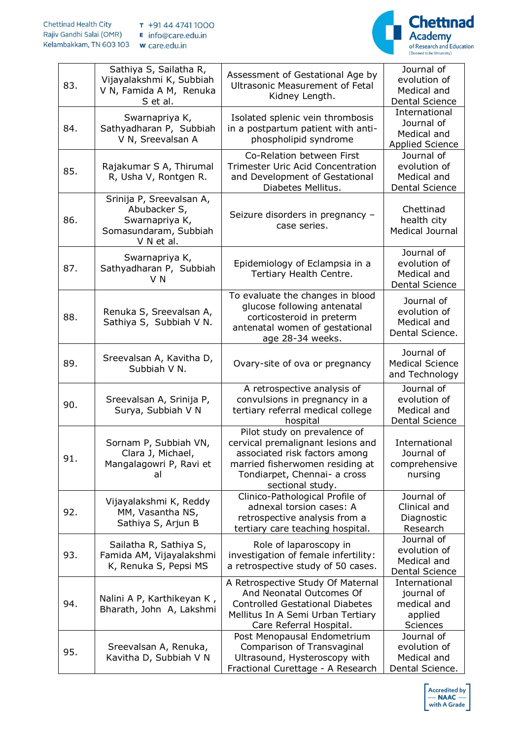

| 83. | Sathiya S, Sailatha R,<br>Vijayalakshmi K, Subbiah<br>V N, Famida A M, Renuka<br>S et al.         | Assessment of Gestational Age by<br><b>Ultrasonic Measurement of Fetal</b><br>Kidney Length.                                                                                              | Journal of<br>evolution of<br>Medical and<br><b>Dental Science</b>   |
|-----|---------------------------------------------------------------------------------------------------|-------------------------------------------------------------------------------------------------------------------------------------------------------------------------------------------|----------------------------------------------------------------------|
| 84. | Swarnapriya K,<br>Sathyadharan P, Subbiah<br>V N, Sreevalsan A                                    | Isolated splenic vein thrombosis<br>in a postpartum patient with anti-<br>phospholipid syndrome                                                                                           | International<br>Journal of<br>Medical and<br><b>Applied Science</b> |
| 85. | Rajakumar S A, Thirumal<br>R, Usha V, Rontgen R.                                                  | Co-Relation between First<br><b>Trimester Uric Acid Concentration</b><br>and Development of Gestational<br>Diabetes Mellitus.                                                             | Journal of<br>evolution of<br>Medical and<br><b>Dental Science</b>   |
| 86. | Srinija P, Sreevalsan A,<br>Abubacker S,<br>Swarnapriya K,<br>Somasundaram, Subbiah<br>V N et al. | Seizure disorders in pregnancy -<br>case series.                                                                                                                                          | Chettinad<br>health city<br><b>Medical Journal</b>                   |
| 87. | Swarnapriya K,<br>Sathyadharan P, Subbiah<br>V N                                                  | Epidemiology of Eclampsia in a<br>Tertiary Health Centre.                                                                                                                                 | Journal of<br>evolution of<br>Medical and<br><b>Dental Science</b>   |
| 88. | Renuka S, Sreevalsan A,<br>Sathiya S, Subbiah V N.                                                | To evaluate the changes in blood<br>glucose following antenatal<br>corticosteroid in preterm<br>antenatal women of gestational<br>age 28-34 weeks.                                        | Journal of<br>evolution of<br>Medical and<br>Dental Science.         |
| 89. | Sreevalsan A, Kavitha D,<br>Subbiah V N.                                                          | Ovary-site of ova or pregnancy                                                                                                                                                            | Journal of<br><b>Medical Science</b><br>and Technology               |
| 90. | Sreevalsan A, Srinija P,<br>Surya, Subbiah V N                                                    | A retrospective analysis of<br>convulsions in pregnancy in a<br>tertiary referral medical college<br>hospital                                                                             | Journal of<br>evolution of<br>Medical and<br>Dental Science          |
| 91. | Sornam P, Subbiah VN,<br>Clara J, Michael,<br>Mangalagowri P, Ravi et<br>al                       | Pilot study on prevalence of<br>cervical premalignant lesions and<br>associated risk factors among<br>married fisherwomen residing at<br>Tondiarpet, Chennai- a cross<br>sectional study. | International<br>Journal of<br>comprehensive<br>nursing              |
| 92. | Vijayalakshmi K, Reddy<br>MM, Vasantha NS,<br>Sathiya S, Arjun B                                  | Clinico-Pathological Profile of<br>adnexal torsion cases: A<br>retrospective analysis from a<br>tertiary care teaching hospital.                                                          | Journal of<br>Clinical and<br>Diagnostic<br>Research                 |
| 93. | Sailatha R, Sathiya S,<br>Famida AM, Vijayalakshmi<br>K, Renuka S, Pepsi MS                       | Role of laparoscopy in<br>investigation of female infertility:<br>a retrospective study of 50 cases.                                                                                      | Journal of<br>evolution of<br>Medical and<br><b>Dental Science</b>   |
| 94. | Nalini A P, Karthikeyan K,<br>Bharath, John A, Lakshmi                                            | A Retrospective Study Of Maternal<br>And Neonatal Outcomes Of<br><b>Controlled Gestational Diabetes</b><br>Mellitus In A Semi Urban Tertiary<br>Care Referral Hospital.                   | International<br>journal of<br>medical and<br>applied<br>Sciences    |
| 95. | Sreevalsan A, Renuka,<br>Kavitha D, Subbiah V N                                                   | Post Menopausal Endometrium<br>Comparison of Transvaginal<br>Ultrasound, Hysteroscopy with<br>Fractional Curettage - A Research                                                           | Journal of<br>evolution of<br>Medical and<br>Dental Science.         |

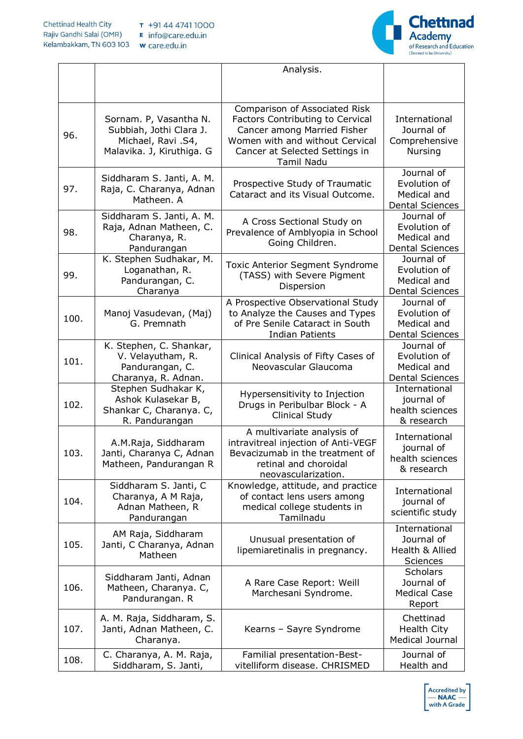

|      |                                                                                        | Analysis.                                                                                                                                            |                                                                     |
|------|----------------------------------------------------------------------------------------|------------------------------------------------------------------------------------------------------------------------------------------------------|---------------------------------------------------------------------|
|      |                                                                                        |                                                                                                                                                      |                                                                     |
|      | Sornam. P, Vasantha N.                                                                 | Comparison of Associated Risk<br><b>Factors Contributing to Cervical</b>                                                                             | International                                                       |
| 96.  | Subbiah, Jothi Clara J.<br>Michael, Ravi .S4,<br>Malavika. J, Kiruthiga. G             | Cancer among Married Fisher<br>Women with and without Cervical<br>Cancer at Selected Settings in                                                     | Journal of<br>Comprehensive<br><b>Nursing</b>                       |
|      |                                                                                        | Tamil Nadu                                                                                                                                           |                                                                     |
| 97.  | Siddharam S. Janti, A. M.<br>Raja, C. Charanya, Adnan<br>Matheen. A                    | Prospective Study of Traumatic<br>Cataract and its Visual Outcome.                                                                                   | Journal of<br>Evolution of<br>Medical and<br><b>Dental Sciences</b> |
| 98.  | Siddharam S. Janti, A. M.<br>Raja, Adnan Matheen, C.<br>Charanya, R.<br>Pandurangan    | A Cross Sectional Study on<br>Prevalence of Amblyopia in School<br>Going Children.                                                                   | Journal of<br>Evolution of<br>Medical and<br><b>Dental Sciences</b> |
| 99.  | K. Stephen Sudhakar, M.<br>Loganathan, R.<br>Pandurangan, C.<br>Charanya               | Toxic Anterior Segment Syndrome<br>(TASS) with Severe Pigment<br>Dispersion                                                                          | Journal of<br>Evolution of<br>Medical and<br><b>Dental Sciences</b> |
| 100. | Manoj Vasudevan, (Maj)<br>G. Premnath                                                  | A Prospective Observational Study<br>to Analyze the Causes and Types<br>of Pre Senile Cataract in South<br>Indian Patients                           | Journal of<br>Evolution of<br>Medical and<br><b>Dental Sciences</b> |
| 101. | K. Stephen, C. Shankar,<br>V. Velayutham, R.<br>Pandurangan, C.<br>Charanya, R. Adnan. | Clinical Analysis of Fifty Cases of<br>Neovascular Glaucoma                                                                                          | Journal of<br>Evolution of<br>Medical and<br><b>Dental Sciences</b> |
| 102. | Stephen Sudhakar K,<br>Ashok Kulasekar B,<br>Shankar C, Charanya. C,<br>R. Pandurangan | Hypersensitivity to Injection<br>Drugs in Peribulbar Block - A<br>Clinical Study                                                                     | International<br>journal of<br>health sciences<br>& research        |
| 103. | A.M.Raja, Siddharam<br>Janti, Charanya C, Adnan<br>Matheen, Pandurangan R              | A multivariate analysis of<br>intravitreal injection of Anti-VEGF<br>Bevacizumab in the treatment of<br>retinal and choroidal<br>neovascularization. | International<br>journal of<br>health sciences<br>& research        |
| 104. | Siddharam S. Janti, C<br>Charanya, A M Raja,<br>Adnan Matheen, R<br>Pandurangan        | Knowledge, attitude, and practice<br>of contact lens users among<br>medical college students in<br>Tamilnadu                                         | International<br>journal of<br>scientific study                     |
| 105. | AM Raja, Siddharam<br>Janti, C Charanya, Adnan<br>Matheen                              | Unusual presentation of<br>lipemiaretinalis in pregnancy.                                                                                            | International<br>Journal of<br>Health & Allied<br><b>Sciences</b>   |
| 106. | Siddharam Janti, Adnan<br>Matheen, Charanya. C,<br>Pandurangan. R                      | A Rare Case Report: Weill<br>Marchesani Syndrome.                                                                                                    | <b>Scholars</b><br>Journal of<br><b>Medical Case</b><br>Report      |
| 107. | A. M. Raja, Siddharam, S.<br>Janti, Adnan Matheen, C.<br>Charanya.                     | Kearns - Sayre Syndrome                                                                                                                              | Chettinad<br><b>Health City</b><br>Medical Journal                  |
| 108. | C. Charanya, A. M. Raja,<br>Siddharam, S. Janti,                                       | Familial presentation-Best-<br>vitelliform disease. CHRISMED                                                                                         | Journal of<br>Health and                                            |

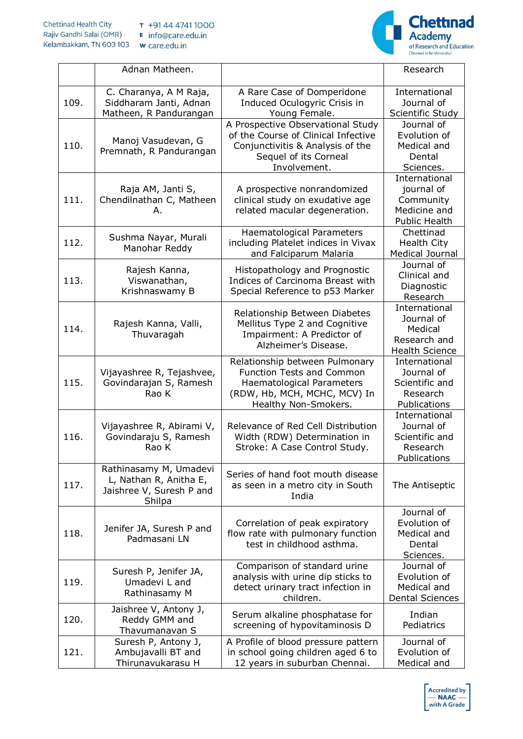

|      | Adnan Matheen.                                                                         |                                                                                                                                                         | Research                                                                        |
|------|----------------------------------------------------------------------------------------|---------------------------------------------------------------------------------------------------------------------------------------------------------|---------------------------------------------------------------------------------|
| 109. | C. Charanya, A M Raja,<br>Siddharam Janti, Adnan<br>Matheen, R Pandurangan             | A Rare Case of Domperidone<br>Induced Oculogyric Crisis in<br>Young Female.                                                                             | International<br>Journal of<br>Scientific Study                                 |
| 110. | Manoj Vasudevan, G<br>Premnath, R Pandurangan                                          | A Prospective Observational Study<br>of the Course of Clinical Infective<br>Conjunctivitis & Analysis of the<br>Sequel of its Corneal<br>Involvement.   | Journal of<br>Evolution of<br>Medical and<br>Dental<br>Sciences.                |
| 111. | Raja AM, Janti S,<br>Chendilnathan C, Matheen<br>Α.                                    | A prospective nonrandomized<br>clinical study on exudative age<br>related macular degeneration.                                                         | International<br>journal of<br>Community<br>Medicine and<br>Public Health       |
| 112. | Sushma Nayar, Murali<br>Manohar Reddy                                                  | Haematological Parameters<br>including Platelet indices in Vivax<br>and Falciparum Malaria                                                              | Chettinad<br>Health City<br>Medical Journal                                     |
| 113. | Rajesh Kanna,<br>Viswanathan,<br>Krishnaswamy B                                        | Histopathology and Prognostic<br>Indices of Carcinoma Breast with<br>Special Reference to p53 Marker                                                    | Journal of<br>Clinical and<br>Diagnostic<br>Research                            |
| 114. | Rajesh Kanna, Valli,<br>Thuvaragah                                                     | Relationship Between Diabetes<br>Mellitus Type 2 and Cognitive<br>Impairment: A Predictor of<br>Alzheimer's Disease.                                    | International<br>Journal of<br>Medical<br>Research and<br><b>Health Science</b> |
| 115. | Vijayashree R, Tejashvee,<br>Govindarajan S, Ramesh<br>Rao K                           | Relationship between Pulmonary<br><b>Function Tests and Common</b><br>Haematological Parameters<br>(RDW, Hb, MCH, MCHC, MCV) In<br>Healthy Non-Smokers. | International<br>Journal of<br>Scientific and<br>Research<br>Publications       |
| 116. | Vijayashree R, Abirami V,<br>Govindaraju S, Ramesh<br>Rao K                            | Relevance of Red Cell Distribution<br>Width (RDW) Determination in<br>Stroke: A Case Control Study.                                                     | International<br>Journal of<br>Scientific and<br>Research<br>Publications       |
| 117. | Rathinasamy M, Umadevi<br>L, Nathan R, Anitha E,<br>Jaishree V, Suresh P and<br>Shilpa | Series of hand foot mouth disease<br>as seen in a metro city in South<br>India                                                                          | The Antiseptic                                                                  |
| 118. | Jenifer JA, Suresh P and<br>Padmasani LN                                               | Correlation of peak expiratory<br>flow rate with pulmonary function<br>test in childhood asthma.                                                        | Journal of<br>Evolution of<br>Medical and<br>Dental<br>Sciences.                |
| 119. | Suresh P, Jenifer JA,<br>Umadevi L and<br>Rathinasamy M                                | Comparison of standard urine<br>analysis with urine dip sticks to<br>detect urinary tract infection in<br>children.                                     | Journal of<br>Evolution of<br>Medical and<br><b>Dental Sciences</b>             |
| 120. | Jaishree V, Antony J,<br>Reddy GMM and<br>Thavumanavan S                               | Serum alkaline phosphatase for<br>screening of hypovitaminosis D                                                                                        | Indian<br>Pediatrics                                                            |
| 121. | Suresh P, Antony J,<br>Ambujavalli BT and<br>Thirunavukarasu H                         | A Profile of blood pressure pattern<br>in school going children aged 6 to<br>12 years in suburban Chennai.                                              | Journal of<br>Evolution of<br>Medical and                                       |

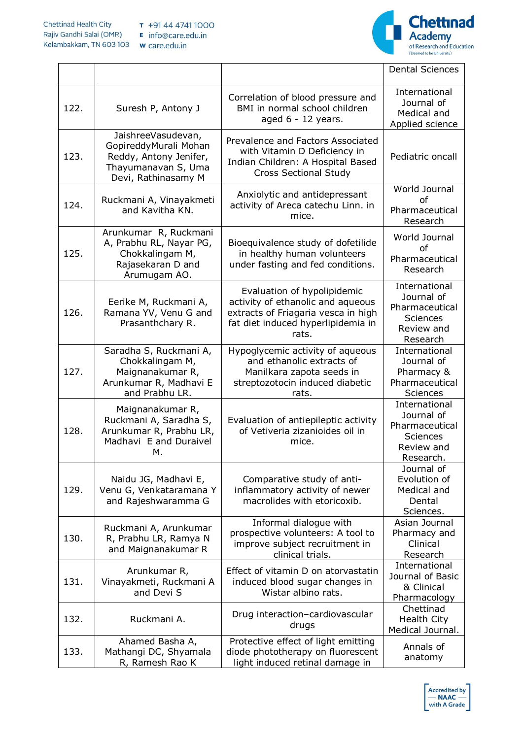

|      |                                                                                                                     |                                                                                                                                                        | <b>Dental Sciences</b>                                                                      |
|------|---------------------------------------------------------------------------------------------------------------------|--------------------------------------------------------------------------------------------------------------------------------------------------------|---------------------------------------------------------------------------------------------|
| 122. | Suresh P, Antony J                                                                                                  | Correlation of blood pressure and<br>BMI in normal school children<br>aged $6 - 12$ years.                                                             | International<br>Journal of<br>Medical and<br>Applied science                               |
| 123. | JaishreeVasudevan,<br>GopireddyMurali Mohan<br>Reddy, Antony Jenifer,<br>Thayumanavan S, Uma<br>Devi, Rathinasamy M | Prevalence and Factors Associated<br>with Vitamin D Deficiency in<br>Indian Children: A Hospital Based<br><b>Cross Sectional Study</b>                 | Pediatric oncall                                                                            |
| 124. | Ruckmani A, Vinayakmeti<br>and Kavitha KN.                                                                          | Anxiolytic and antidepressant<br>activity of Areca catechu Linn. in<br>mice.                                                                           | World Journal<br>of<br>Pharmaceutical<br>Research                                           |
| 125. | Arunkumar R, Ruckmani<br>A, Prabhu RL, Nayar PG,<br>Chokkalingam M,<br>Rajasekaran D and<br>Arumugam AO.            | Bioequivalence study of dofetilide<br>in healthy human volunteers<br>under fasting and fed conditions.                                                 | World Journal<br>of<br>Pharmaceutical<br>Research                                           |
| 126. | Eerike M, Ruckmani A,<br>Ramana YV, Venu G and<br>Prasanthchary R.                                                  | Evaluation of hypolipidemic<br>activity of ethanolic and aqueous<br>extracts of Friagaria vesca in high<br>fat diet induced hyperlipidemia in<br>rats. | International<br>Journal of<br>Pharmaceutical<br>Sciences<br>Review and<br>Research         |
| 127. | Saradha S, Ruckmani A,<br>Chokkalingam M,<br>Maignanakumar R,<br>Arunkumar R, Madhavi E<br>and Prabhu LR.           | Hypoglycemic activity of aqueous<br>and ethanolic extracts of<br>Manilkara zapota seeds in<br>streptozotocin induced diabetic<br>rats.                 | International<br>Journal of<br>Pharmacy &<br>Pharmaceutical<br>Sciences                     |
| 128. | Maignanakumar R,<br>Ruckmani A, Saradha S,<br>Arunkumar R, Prabhu LR,<br>Madhavi E and Duraivel<br>М.               | Evaluation of antiepileptic activity<br>of Vetiveria zizanioides oil in<br>mice.                                                                       | International<br>Journal of<br>Pharmaceutical<br><b>Sciences</b><br>Review and<br>Research. |
| 129. | Naidu JG, Madhavi E,<br>Venu G, Venkataramana Y<br>and Rajeshwaramma G                                              | Comparative study of anti-<br>inflammatory activity of newer<br>macrolides with etoricoxib.                                                            | Journal of<br>Evolution of<br>Medical and<br>Dental<br>Sciences.                            |
| 130. | Ruckmani A, Arunkumar<br>R, Prabhu LR, Ramya N<br>and Maignanakumar R                                               | Informal dialogue with<br>prospective volunteers: A tool to<br>improve subject recruitment in<br>clinical trials.                                      | Asian Journal<br>Pharmacy and<br>Clinical<br>Research                                       |
| 131. | Arunkumar R,<br>Vinayakmeti, Ruckmani A<br>and Devi S                                                               | Effect of vitamin D on atorvastatin<br>induced blood sugar changes in<br>Wistar albino rats.                                                           | International<br>Journal of Basic<br>& Clinical<br>Pharmacology                             |
| 132. | Ruckmani A.                                                                                                         | Drug interaction-cardiovascular<br>drugs                                                                                                               | Chettinad<br>Health City<br>Medical Journal.                                                |
| 133. | Ahamed Basha A,<br>Mathangi DC, Shyamala<br>R, Ramesh Rao K                                                         | Protective effect of light emitting<br>diode phototherapy on fluorescent<br>light induced retinal damage in                                            | Annals of<br>anatomy                                                                        |